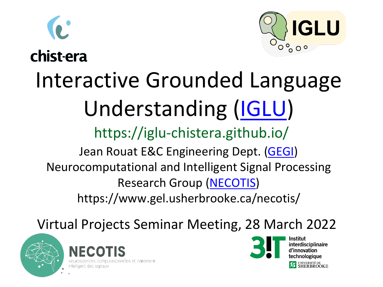



chist-era

### Interactive Grounded Language Understanding [\(IGLU\)](https://iglu-chistera.github.io/) Jean Rouat E&C Engineering Dept. [\(GEGI](http://www.gel.usherbrooke.ca/)) Neurocomputational and Intelligent Signal Processing Research Group [\(NECOTIS\)](http://www.gel.usherbrooke.ca/necotis) https://www.gel.usherbrooke.ca/necotis/ https://iglu-chistera.github.io/

Virtual Projects Seminar Meeting, 28 March 2022







**interdisciplinaire** d'innovation echnologiaue SHERBROOKE

GLU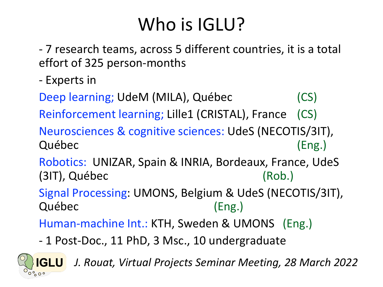## Who is IGLU?

- 7 research teams, across 5 different countries, it is a total effort of 325 person-months

- Experts in

Deep learning; UdeM (MILA), Québec (CS)

Reinforcement learning; Lille1 (CRISTAL), France (CS)

Neurosciences & cognitive sciences: UdeS (NECOTIS/3IT), Québec (Eng.)

Robotics: UNIZAR, Spain & INRIA, Bordeaux, France, UdeS (3IT), Québec (Rob.)

Signal Processing: UMONS, Belgium & UdeS (NECOTIS/3IT), Québec (Eng.)

Human-machine Int.: KTH, Sweden & UMONS (Eng.)

- 1 Post-Doc., 11 PhD, 3 Msc., 10 undergraduate

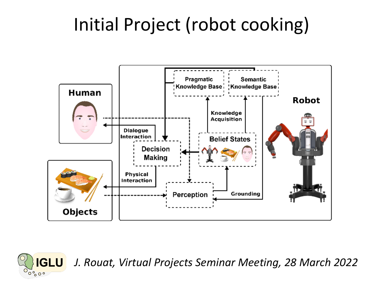## Initial Project (robot cooking)



**IGLU** 

 $\sigma$ ാറ്റ്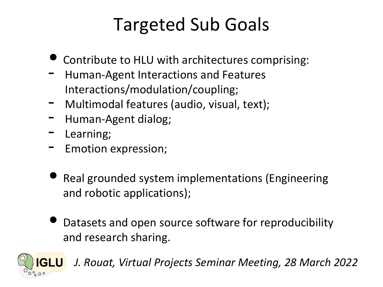## Targeted Sub Goals

- Contribute to HLU with architectures comprising:
- Human-Agent Interactions and Features Interactions/modulation/coupling;
- Multimodal features (audio, visual, text);
- Human-Agent dialog;
- Learning;
- Emotion expression;
- Real grounded system implementations (Engineering and robotic applications);
- Datasets and open source software for reproducibility and research sharing.

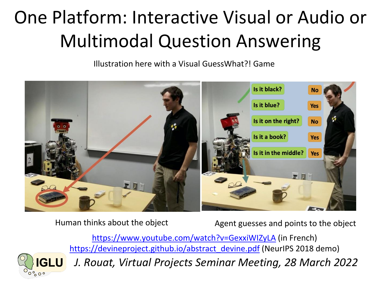# One Platform: Interactive Visual or Audio or Multimodal Question Answering

Illustration here with a Visual GuessWhat?! Game



Human thinks about the object Agent guesses and points to the object

<https://www.youtube.com/watch?v=GexxiWIZyLA> (in French) [https://devineproject.github.io/abstract\\_devine.pdf](https://devineproject.github.io/abstract_devine.pdf) (NeurIPS 2018 demo)

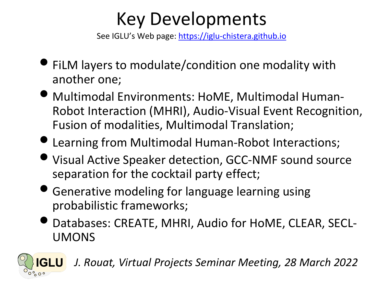### Key Developments

See IGLU's Web page: [https://iglu-chistera.github.io](https://iglu-chistera.github.io/)

- FiLM layers to modulate/condition one modality with another one;
- Multimodal Environments: HoME, Multimodal Human-Robot Interaction (MHRI), Audio-Visual Event Recognition, Fusion of modalities, Multimodal Translation;
- Learning from Multimodal Human-Robot Interactions;
- Visual Active Speaker detection, GCC-NMF sound source separation for the cocktail party effect;
- Generative modeling for language learning using probabilistic frameworks;
- Databases: CREATE, MHRI, Audio for HoME, CLEAR, SECL-UMONS

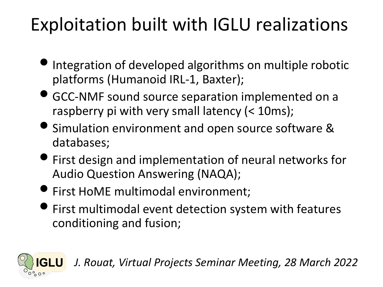# Exploitation built with IGLU realizations

- Integration of developed algorithms on multiple robotic platforms (Humanoid IRL-1, Baxter);
- GCC-NMF sound source separation implemented on a raspberry pi with very small latency (< 10ms);
- Simulation environment and open source software & databases;
- First design and implementation of neural networks for Audio Question Answering (NAQA);
- First HoME multimodal environment;
- First multimodal event detection system with features conditioning and fusion;

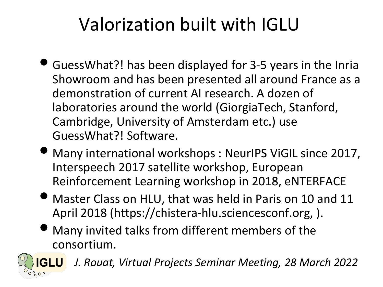# Valorization built with IGLU

- GuessWhat?! has been displayed for 3-5 years in the Inria Showroom and has been presented all around France as a demonstration of current AI research. A dozen of laboratories around the world (GiorgiaTech, Stanford, Cambridge, University of Amsterdam etc.) use GuessWhat?! Software.
- Many international workshops : NeurIPS ViGIL since 2017, Interspeech 2017 satellite workshop, European Reinforcement Learning workshop in 2018, eNTERFACE
- Master Class on HLU, that was held in Paris on 10 and 11 April 2018 (https://chistera-hlu.sciencesconf.org, ).
- Many invited talks from different members of the consortium.

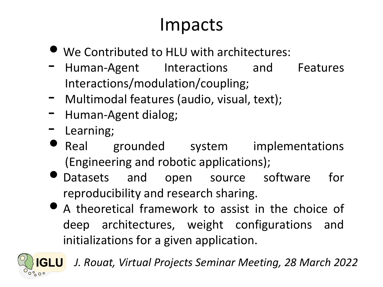### Impacts

- We Contributed to HLU with architectures:
- Human-Agent Interactions and Features Interactions/modulation/coupling;
- Multimodal features (audio, visual, text);
- Human-Agent dialog;
- Learning;
- Real grounded system implementations (Engineering and robotic applications);
- Datasets and open source software for reproducibility and research sharing.
- <sup>A</sup> theoretical framework to assist in the choice of deep architectures, weight configurations and initializations for a given application.

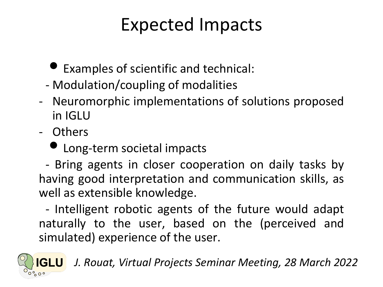### Expected Impacts

- Examples of scientific and technical:
- Modulation/coupling of modalities
- Neuromorphic implementations of solutions proposed in IGLU
- Others
	- Long-term societal impacts

- Bring agents in closer cooperation on daily tasks by having good interpretation and communication skills, as well as extensible knowledge.

- Intelligent robotic agents of the future would adapt naturally to the user, based on the (perceived and simulated) experience of the user.